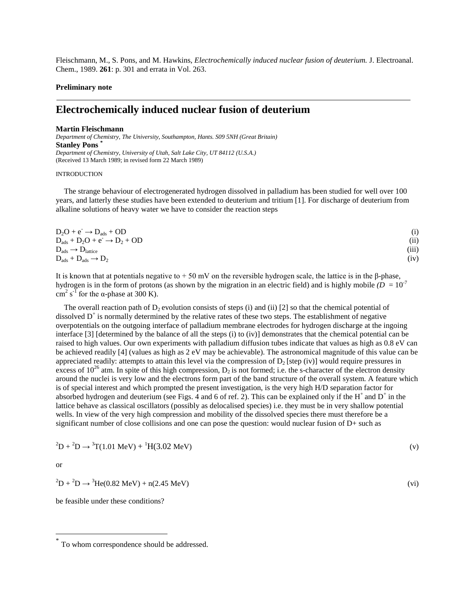Fleischmann, M., S. Pons, and M. Hawkins, *Electrochemically induced nuclear fusion of deuterium.* J. Electroanal. Chem., 1989. **261**: p. 301 and errata in Vol. 263.

### **Preliminary note**

# **Electrochemically induced nuclear fusion of deuterium**

#### **Martin Fleischmann**

*Department of Chemistry, The University, Southampton, Hants. S09 5NH (Great Britain)* **StanleyPons \*** *Department of Chemistry, University of Utah, Salt Lake City, UT 84112 (U.S.A.)* (Received 13 March 1989; in revised form 22 March 1989)

### **INTRODUCTION**

The strange behaviour of electrogenerated hydrogen dissolved in palladium has been studied for well over 100 years, and latterly these studies have been extended to deuterium and tritium [1]. For discharge of deuterium from alkaline solutions of heavy water we have to consider the reaction steps

| $D_2O + e^- \rightarrow D_{ads} + OD$       | (i)   |
|---------------------------------------------|-------|
| $D_{ads} + D_2O + e^- \rightarrow D_2 + OD$ | (ii)  |
| $D_{ads} \rightarrow D_{lattice}$           | (iii) |
| $D_{ads} + D_{ads} \rightarrow D_2$         | (iv)  |

It is known that at potentials negative to  $+50$  mV on the reversible hydrogen scale, the lattice is in the β-phase, hydrogen is in the form of protons (as shown by the migration in an electric field) and is highly mobile  $(D = 10^{-7}$ cm<sup>2</sup> s<sup>-1</sup> for the  $\alpha$ -phase at 300 K).

The overall reaction path of  $D_2$  evolution consists of steps (i) and (ii) [2] so that the chemical potential of dissolved  $D^+$  is normally determined by the relative rates of these two steps. The establishment of negative overpotentials on the outgoing interface of palladium membrane electrodes for hydrogen discharge at the ingoing interface [3] [determined by the balance of all the steps (i) to (iv)] demonstrates that the chemical potential can be raised to high values. Our own experiments with palladium diffusion tubes indicate that values as high as 0.8 eV can be achieved readily [4] (values as high as 2 eV may be achievable). The astronomical magnitude of this value can be appreciated readily: attempts to attain this level via the compression of  $D_2$  [step (iv)] would require pressures in excess of  $10^{26}$  atm. In spite of this high compression,  $D_2$  is not formed; i.e. the s-character of the electron density around the nuclei is very low and the electrons form part of the band structure of the overall system. A feature which is of special interest and which prompted the present investigation, is the very high H/D separation factor for absorbed hydrogen and deuterium (see Figs. 4 and 6 of ref. 2). This can be explained only if the H<sup>+</sup> and  $D^+$  in the lattice behave as classical oscillators (possibly as delocalised species) i.e. they must be in very shallow potential wells. In view of the very high compression and mobility of the dissolved species there must therefore be a significant number of close collisions and one can pose the question: would nuclear fusion of D+ such as

$$
{}^{2}D + {}^{2}D \rightarrow {}^{3}T(1.01 \text{ MeV}) + {}^{1}H(3.02 \text{ MeV})
$$
 (v)

or

$$
{}^{2}D + {}^{2}D \rightarrow {}^{3}He(0.82 \text{ MeV}) + n(2.45 \text{ MeV})
$$
 (vi)

be feasible under these conditions?

<span id="page-0-0"></span><sup>\*</sup> To whom correspondence should be addressed.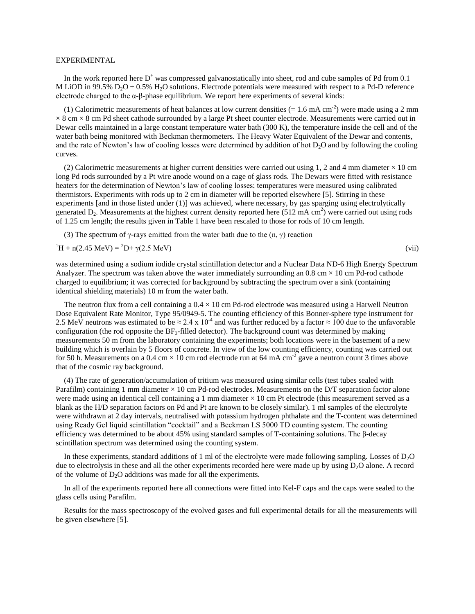# EXPERIMENTAL

In the work reported here  $D^+$  was compressed galvanostatically into sheet, rod and cube samples of Pd from 0.1 M LiOD in 99.5%  $D_2O + 0.5% H_2O$  solutions. Electrode potentials were measured with respect to a Pd-D reference electrode charged to the  $\alpha$ -β-phase equilibrium. We report here experiments of several kinds:

(1) Calorimetric measurements of heat balances at low current densities  $(= 1.6 \text{ mA cm}^{-2})$  were made using a 2 mm  $\times$  8 cm  $\times$  8 cm Pd sheet cathode surrounded by a large Pt sheet counter electrode. Measurements were carried out in Dewar cells maintained in a large constant temperature water bath (300 K), the temperature inside the cell and of the water bath being monitored with Beckman thermometers. The Heavy Water Equivalent of the Dewar and contents, and the rate of Newton's law of cooling losses were determined by addition of hot  $D_2O$  and by following the cooling curves.

(2) Calorimetric measurements at higher current densities were carried out using 1, 2 and 4 mm diameter  $\times$  10 cm long Pd rods surrounded by a Pt wire anode wound on a cage of glass rods. The Dewars were fitted with resistance heaters for the determination of Newton's law of cooling losses; temperatures were measured using calibrated thermistors. Experiments with rods up to 2 cm in diameter will be reported elsewhere [5]. Stirring in these experiments [and in those listed under (1)] was achieved, where necessary, by gas sparging using electrolytically generated  $D_2$ . Measurements at the highest current density reported here (512 mA cm<sup>2</sup>) were carried out using rods of 1.25 cm length; the results given in Table 1 have been rescaled to those for rods of 10 cm length.

(3) The spectrum of  $\gamma$ -rays emitted from the water bath due to the (n,  $\gamma$ ) reaction

 ${}^{1}H + n(2.45 \text{ MeV}) = {}^{2}D + \gamma(2.5 \text{ MeV})$  (vii)

was determined using a sodium iodide crystal scintillation detector and a Nuclear Data ND-6 High Energy Spectrum Analyzer. The spectrum was taken above the water immediately surrounding an  $0.8 \text{ cm} \times 10 \text{ cm}$  Pd-rod cathode charged to equilibrium; it was corrected for background by subtracting the spectrum over a sink (containing identical shielding materials) 10 m from the water bath.

The neutron flux from a cell containing a  $0.4 \times 10$  cm Pd-rod electrode was measured using a Harwell Neutron Dose Equivalent Rate Monitor, Type 95/0949-5. The counting efficiency of this Bonner-sphere type instrument for 2.5 MeV neutrons was estimated to be  $\approx 2.4 \times 10^{-4}$  and was further reduced by a factor  $\approx 100$  due to the unfavorable configuration (the rod opposite the  $BF_3$ -filled detector). The background count was determined by making measurements 50 m from the laboratory containing the experiments; both locations were in the basement of a new building which is overlain by 5 floors of concrete. In view of the low counting efficiency, counting was carried out for 50 h. Measurements on a 0.4 cm  $\times$  10 cm rod electrode run at 64 mA cm<sup>-2</sup> gave a neutron count 3 times above that of the cosmic ray background.

(4) The rate of generation/accumulation of tritium was measured using similar cells (test tubes sealed with Parafilm) containing 1 mm diameter  $\times$  10 cm Pd-rod electrodes. Measurements on the D/T separation factor alone were made using an identical cell containing a 1 mm diameter  $\times$  10 cm Pt electrode (this measurement served as a blank as the H/D separation factors on Pd and Pt are known to be closely similar). 1 ml samples of the electrolyte were withdrawn at 2 day intervals, neutralised with potassium hydrogen phthalate and the T-content was determined using Ready Gel liquid scintillation "cocktail" and a Beckman LS 5000 TD counting system. The counting efficiency was determined to be about 45% using standard samples of T-containing solutions. The β-decay scintillation spectrum was determined using the counting system.

In these experiments, standard additions of 1 ml of the electrolyte were made following sampling. Losses of D<sub>2</sub>O due to electrolysis in these and all the other experiments recorded here were made up by using  $D_2O$  alone. A record of the volume of  $D_2O$  additions was made for all the experiments.

In all of the experiments reported here all connections were fitted into Kel-F caps and the caps were sealed to the glass cells using Parafilm.

Results for the mass spectroscopy of the evolved gases and full experimental details for all the measurements will be given elsewhere [5].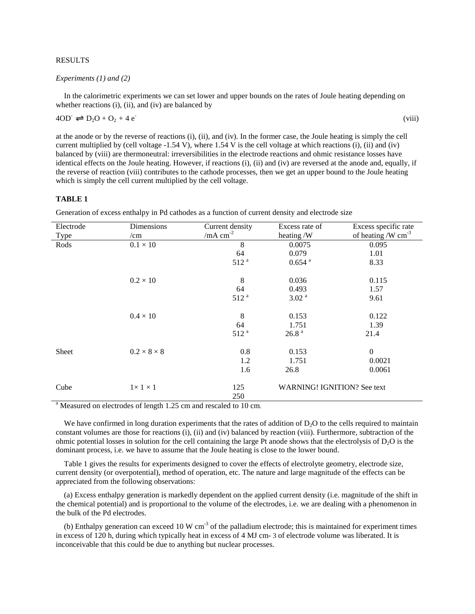# RESULTS

### *Experiments (1) and (2)*

In the calorimetric experiments we can set lower and upper bounds on the rates of Joule heating depending on whether reactions (i), (ii), and (iv) are balanced by

$$
4OD^{\cdot} \rightleftharpoons D_2O + O_2 + 4 e^{\cdot}
$$

at the anode or by the reverse of reactions (i), (ii), and (iv). In the former case, the Joule heating is simply the cell current multiplied by (cell voltage  $-1.54$  V), where 1.54 V is the cell voltage at which reactions (i), (ii) and (iv) balanced by (viii) are thermoneutral: irreversibilities in the electrode reactions and ohmic resistance losses have identical effects on the Joule heating. However, if reactions (i), (ii) and (iv) are reversed at the anode and, equally, if the reverse of reaction (viii) contributes to the cathode processes, then we get an upper bound to the Joule heating which is simply the cell current multiplied by the cell voltage.

(viii)

### **TABLE 1**

Generation of excess enthalpy in Pd cathodes as a function of current density and electrode size

| Electrode | Dimensions              | Current density  | Excess rate of                     | Excess specific rate    |
|-----------|-------------------------|------------------|------------------------------------|-------------------------|
| Type      | /cm                     | /mA $cm^{-2}$    | heating /W                         | of heating /W $cm^{-3}$ |
| Rods      | $0.1\times10$           | 8                | 0.0075                             | 0.095                   |
|           |                         | 64               | 0.079                              | 1.01                    |
|           |                         | 512 <sup>a</sup> | $0.654$ <sup>a</sup>               | 8.33                    |
|           | $0.2 \times 10$         | 8                | 0.036                              | 0.115                   |
|           |                         | 64               | 0.493                              | 1.57                    |
|           |                         | 512 <sup>a</sup> | 3.02 <sup>a</sup>                  | 9.61                    |
|           | $0.4 \times 10$         | 8                | 0.153                              | 0.122                   |
|           |                         | 64               | 1.751                              | 1.39                    |
|           |                         | 512 <sup>a</sup> | 26.8 <sup>a</sup>                  | 21.4                    |
| Sheet     | $0.2 \times 8 \times 8$ | 0.8              | 0.153                              | $\theta$                |
|           |                         | 1.2              | 1.751                              | 0.0021                  |
|           |                         | 1.6              | 26.8                               | 0.0061                  |
| Cube      | $1 \times 1 \times 1$   | 125              | <b>WARNING! IGNITION? See text</b> |                         |
| $2 - 5$   | $\sim$ $\sim$<br>.      | 250              |                                    |                         |

<sup>a</sup> Measured on electrodes of length 1.25 cm and rescaled to 10 cm.

We have confirmed in long duration experiments that the rates of addition of  $D<sub>2</sub>O$  to the cells required to maintain constant volumes are those for reactions (i), (ii) and (iv) balanced by reaction (viii). Furthermore, subtraction of the ohmic potential losses in solution for the cell containing the large Pt anode shows that the electrolysis of  $D_2O$  is the dominant process, i.e. we have to assume that the Joule heating is close to the lower bound.

Table 1 gives the results for experiments designed to cover the effects of electrolyte geometry, electrode size, current density (or overpotential), method of operation, etc. The nature and large magnitude of the effects can be appreciated from the following observations:

(a) Excess enthalpy generation is markedly dependent on the applied current density (i.e. magnitude of the shift in the chemical potential) and is proportional to the volume of the electrodes, i.e. we are dealing with a phenomenon in the bulk of the Pd electrodes.

(b) Enthalpy generation can exceed 10 W cm<sup>-3</sup> of the palladium electrode; this is maintained for experiment times in excess of 120 h, during which typically heat in excess of 4 MJ cm- 3 of electrode volume was liberated. It is inconceivable that this could be due to anything but nuclear processes.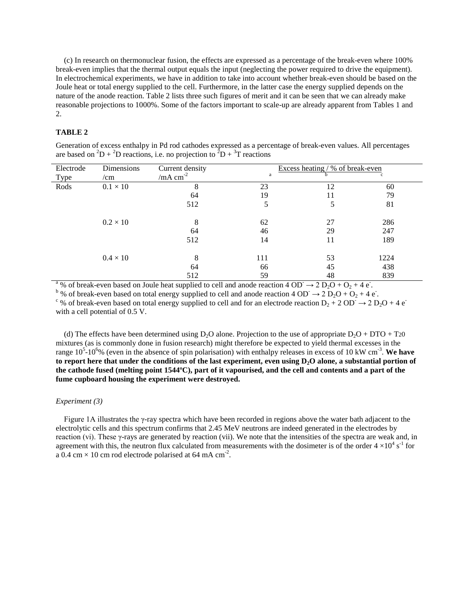(c) In research on thermonuclear fusion, the effects are expressed as a percentage of the break-even where 100% break-even implies that the thermal output equals the input (neglecting the power required to drive the equipment). In electrochemical experiments, we have in addition to take into account whether break-even should be based on the Joule heat or total energy supplied to the cell. Furthermore, in the latter case the energy supplied depends on the nature of the anode reaction. Table 2 lists three such figures of merit and it can be seen that we can already make reasonable projections to 1000%. Some of the factors important to scale-up are already apparent from Tables 1 and 2.

# **TABLE 2**

| are based on $D + D$ reactions, i.e. no projection to $D + 1$ reactions |                   |                 |     |                                  |      |  |  |  |  |
|-------------------------------------------------------------------------|-------------------|-----------------|-----|----------------------------------|------|--|--|--|--|
| Electrode                                                               | <b>Dimensions</b> | Current density |     | Excess heating / % of break-even |      |  |  |  |  |
| Type                                                                    | /cm               | /mA $cm^{-2}$   | a   |                                  |      |  |  |  |  |
| Rods                                                                    | $0.1 \times 10$   | 8               | 23  | 12                               | 60   |  |  |  |  |
|                                                                         |                   | 64              | 19  | 11                               | 79   |  |  |  |  |
|                                                                         |                   | 512             |     | 5                                | 81   |  |  |  |  |
|                                                                         | $0.2 \times 10$   | 8               | 62  | 27                               | 286  |  |  |  |  |
|                                                                         |                   | 64              | 46  | 29                               | 247  |  |  |  |  |
|                                                                         |                   | 512             | 14  | 11                               | 189  |  |  |  |  |
|                                                                         | $0.4 \times 10$   | 8               | 111 | 53                               | 1224 |  |  |  |  |
|                                                                         |                   | 64              | 66  | 45                               | 438  |  |  |  |  |
|                                                                         |                   | 512             | 59  | 48                               | 839  |  |  |  |  |

Generation of excess enthalpy in Pd rod cathodes expressed as a percentage of break-even values. All percentages are based on  ${}^{2}D + {}^{2}D$  reactions, i.e. no projection to  ${}^{2}D + {}^{3}T$  reactions

<sup>a</sup> % of break-even based on Joule heat supplied to cell and anode reaction 4 OD<sup>-</sup>  $\rightarrow$  2 D<sub>2</sub>O + O<sub>2</sub> + 4 e<sup>-</sup>.

<sup>b</sup> % of break-even based on total energy supplied to cell and anode reaction 4 OD<sup>-</sup>  $\rightarrow$  2 D<sub>2</sub>O + O<sub>2</sub> + 4 e<sup>-</sup>.

<sup>c</sup> % of break-even based on total energy supplied to cell and for an electrode reaction  $D_2 + 2 OD \rightarrow 2 D_2O + 4 e^$ with a cell potential of 0.5 V.

(d) The effects have been determined using  $D_2O$  alone. Projection to the use of appropriate  $D_2O + DTO + T20$ mixtures (as is commonly done in fusion research) might therefore be expected to yield thermal excesses in the range 10<sup>5</sup>-10<sup>6</sup>% (even in the absence of spin polarisation) with enthalpy releases in excess of 10 kW cm<sup>-3</sup>. We have **to report here that under the conditions of the last experiment, even using D2O alone, a substantial portion of the cathode fused (melting point 1544ºC), part of it vapourised, and the cell and contents and a part of the fume cupboard housing the experiment were destroyed.**

# *Experiment (3)*

Figure 1A illustrates the  $\gamma$ -ray spectra which have been recorded in regions above the water bath adjacent to the electrolytic cells and this spectrum confirms that 2.45 MeV neutrons are indeed generated in the electrodes by reaction(vi).Theseγ-rays are generated by reaction (vii). We note that the intensities of the spectra are weak and, in agreement with this, the neutron flux calculated from measurements with the dosimeter is of the order  $4 \times 10^4$  s<sup>-1</sup> for a 0.4 cm  $\times$  10 cm rod electrode polarised at 64 mA cm<sup>-2</sup>.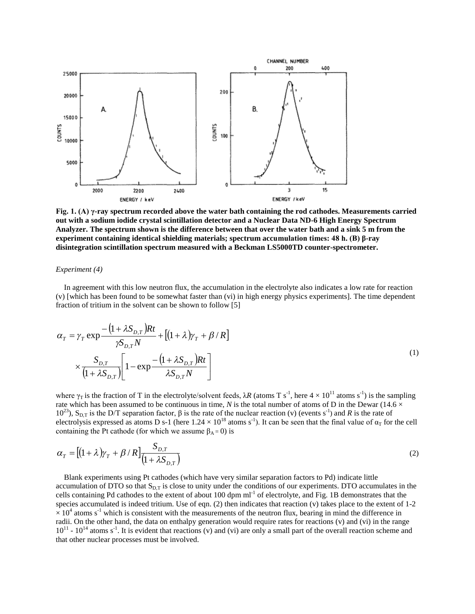

**Fig.1.(A)γ-ray spectrum recorded above the water bath containing the rod cathodes. Measurements carried out with a sodium iodide crystal scintillation detector and a Nuclear Data ND-6 High Energy Spectrum Analyzer. The spectrum shown is the difference between that over the water bath and a sink 5 m from the experiment containing identical shielding materials; spectrum accumulationtimes:48h.(B)β-ray disintegration scintillation spectrum measured with a Beckman LS5000TD counter-spectrometer.**

### *Experiment (4)*

In agreement with this low neutron flux, the accumulation in the electrolyte also indicates a low rate for reaction (v) [which has been found to be somewhat faster than (vi) in high energy physics experiments]. The time dependent fraction of tritium in the solvent can be shown to follow [5]

$$
\alpha_{T} = \gamma_{T} \exp \frac{-\left(1 + \lambda S_{D,T}\right)Rt}{\gamma S_{D,T}N} + \left[\left(1 + \lambda\right)\gamma_{T} + \beta/R\right]
$$
\n
$$
\times \frac{S_{D,T}}{\left(1 + \lambda S_{D,T}\right)} \left[1 - \exp \frac{-\left(1 + \lambda S_{D,T}\right)Rt}{\lambda S_{D,T}N}\right]
$$
\n(1)

where  $\gamma_T$  is the fraction of T in the electrolyte/solvent feeds,  $\lambda R$  (atoms T s<sup>-1</sup>, here  $4 \times 10^{11}$  atoms s<sup>-1</sup>) is the sampling rate which has been assumed to be continuous in time, *N* is the total number of atoms of D in the Dewar (14.6  $\times$ 10<sup>23</sup>), S<sub>D,T</sub> is the D/T separation factor, β is the rate of the nuclear reaction (v) (events s<sup>-1</sup>) and R is the rate of electrolysis expressed as atoms D s-1 (here  $1.24 \times 10^{18}$  atoms s<sup>-1</sup>). It can be seen that the final value of  $\alpha_T$  for the cell containing the Pt cathode (for which we assume  $\beta_A = 0$ ) is

$$
\alpha_T = \left[ (1 + \lambda) \gamma_T + \beta / R \right] \frac{S_{D,T}}{\left( 1 + \lambda S_{D,T} \right)} \tag{2}
$$

Blank experiments using Pt cathodes (which have very similar separation factors to Pd) indicate little accumulation of DTO so that  $S_{D,T}$  is close to unity under the conditions of our experiments. DTO accumulates in the cells containing Pd cathodes to the extent of about 100 dpm ml<sup>-1</sup> of electrolyte, and Fig. 1B demonstrates that the species accumulated is indeed tritium. Use of eqn. (2) then indicates that reaction (v) takes place to the extent of 1-2  $\times$  10<sup>4</sup> atoms s<sup>-1</sup> which is consistent with the measurements of the neutron flux, bearing in mind the difference in radii. On the other hand, the data on enthalpy generation would require rates for reactions (v) and (vi) in the range  $10^{11}$  -  $10^{14}$  atoms s<sup>-1</sup>. It is evident that reactions (v) and (vi) are only a small part of the overall reaction scheme and that other nuclear processes must be involved.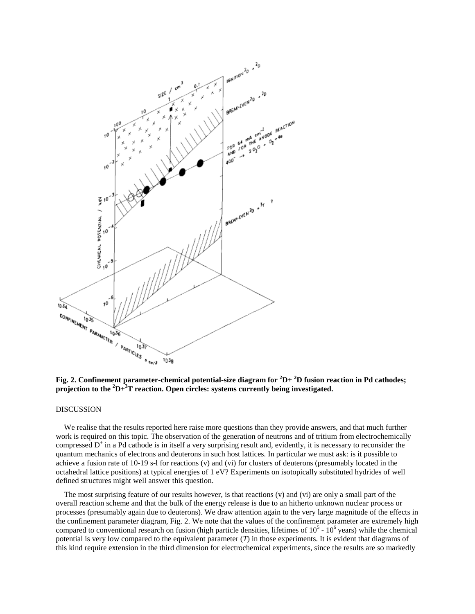

**Fig. 2. Confinement parameter-chemical potential-size diagram for**  ${}^{2}D+{}^{2}D$  **fusion reaction in Pd cathodes; projection to the <sup>2</sup>D+<sup>3</sup>T reaction. Open circles: systems currently being investigated.**

# DISCUSSION

We realise that the results reported here raise more questions than they provide answers, and that much further work is required on this topic. The observation of the generation of neutrons and of tritium from electrochemically compressed  $D^+$  in a Pd cathode is in itself a very surprising result and, evidently, it is necessary to reconsider the quantum mechanics of electrons and deuterons in such host lattices. In particular we must ask: is it possible to achieve a fusion rate of 10-19 s-l for reactions (v) and (vi) for clusters of deuterons (presumably located in the octahedral lattice positions) at typical energies of 1 eV? Experiments on isotopically substituted hydrides of well defined structures might well answer this question.

The most surprising feature of our results however, is that reactions (v) and (vi) are only a small part of the overall reaction scheme and that the bulk of the energy release is due to an hitherto unknown nuclear process or processes (presumably again due to deuterons). We draw attention again to the very large magnitude of the effects in the confinement parameter diagram, Fig. 2. We note that the values of the confinement parameter are extremely high compared to conventional research on fusion (high particle densities, lifetimes of  $10^5$  -  $10^6$  years) while the chemical potential is very low compared to the equivalent parameter (*T*) in those experiments. It is evident that diagrams of this kind require extension in the third dimension for electrochemical experiments, since the results are so markedly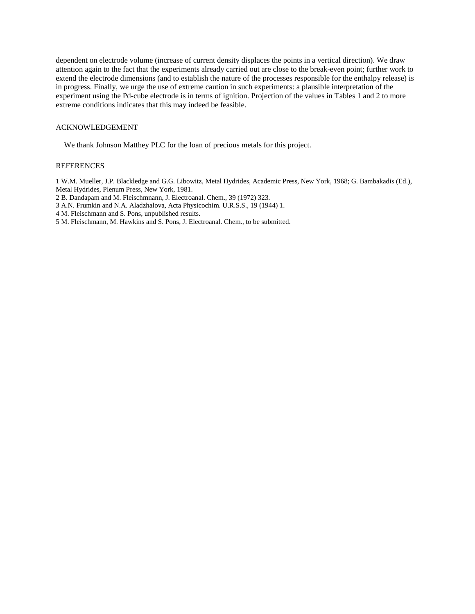dependent on electrode volume (increase of current density displaces the points in a vertical direction). We draw attention again to the fact that the experiments already carried out are close to the break-even point; further work to extend the electrode dimensions (and to establish the nature of the processes responsible for the enthalpy release) is in progress. Finally, we urge the use of extreme caution in such experiments: a plausible interpretation of the experiment using the Pd-cube electrode is in terms of ignition. Projection of the values in Tables 1 and 2 to more extreme conditions indicates that this may indeed be feasible.

# ACKNOWLEDGEMENT

We thank Johnson Matthey PLC for the loan of precious metals for this project.

# REFERENCES

1 W.M. Mueller, J.P. Blackledge and G.G. Libowitz, Metal Hydrides, Academic Press, New York, 1968; G. Bambakadis (Ed.), Metal Hydrides, Plenum Press, New York, 1981.

- 2 B. Dandapam and M. Fleischmnann, J. Electroanal. Chem., 39 (1972) 323.
- 3 A.N. Frumkin and N.A. Aladzhalova, Acta Physicochim. U.R.S.S., 19 (1944) 1.
- 4 M. Fleischmann and S. Pons, unpublished results.
- 5 M. Fleischmann, M. Hawkins and S. Pons, J. Electroanal. Chem., to be submitted.